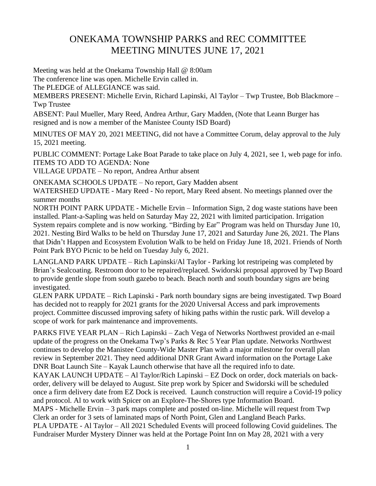## ONEKAMA TOWNSHIP PARKS and REC COMMITTEE MEETING MINUTES JUNE 17, 2021

Meeting was held at the Onekama Township Hall @ 8:00am

The conference line was open. Michelle Ervin called in.

The PLEDGE of ALLEGIANCE was said.

MEMBERS PRESENT: Michelle Ervin, Richard Lapinski, Al Taylor – Twp Trustee, Bob Blackmore – Twp Trustee

ABSENT: Paul Mueller, Mary Reed, Andrea Arthur, Gary Madden, (Note that Leann Burger has resigned and is now a member of the Manistee County ISD Board)

MINUTES OF MAY 20, 2021 MEETING, did not have a Committee Corum, delay approval to the July 15, 2021 meeting.

PUBLIC COMMENT: Portage Lake Boat Parade to take place on July 4, 2021, see 1, web page for info. ITEMS TO ADD TO AGENDA: None

VILLAGE UPDATE – No report, Andrea Arthur absent

ONEKAMA SCHOOLS UPDATE – No report, Gary Madden absent

WATERSHED UPDATE - Mary Reed - No report, Mary Reed absent. No meetings planned over the summer months

NORTH POINT PARK UPDATE - Michelle Ervin – Information Sign, 2 dog waste stations have been installed. Plant-a-Sapling was held on Saturday May 22, 2021 with limited participation. Irrigation System repairs complete and is now working. "Birding by Ear" Program was held on Thursday June 10, 2021. Nesting Bird Walks to be held on Thursday June 17, 2021 and Saturday June 26, 2021. The Plans that Didn't Happen and Ecosystem Evolution Walk to be held on Friday June 18, 2021. Friends of North Point Park BYO Picnic to be held on Tuesday July 6, 2021.

LANGLAND PARK UPDATE – Rich Lapinski/Al Taylor - Parking lot restripeing was completed by Brian's Sealcoating. Restroom door to be repaired/replaced. Swidorski proposal approved by Twp Board to provide gentle slope from south gazebo to beach. Beach north and south boundary signs are being investigated.

GLEN PARK UPDATE – Rich Lapinski - Park north boundary signs are being investigated. Twp Board has decided not to reapply for 2021 grants for the 2020 Universal Access and park improvements project. Committee discussed improving safety of hiking paths within the rustic park. Will develop a scope of work for park maintenance and improvements.

PARKS FIVE YEAR PLAN – Rich Lapinski – Zach Vega of Networks Northwest provided an e-mail update of the progress on the Onekama Twp's Parks & Rec 5 Year Plan update. Networks Northwest continues to develop the Manistee County-Wide Master Plan with a major milestone for overall plan review in September 2021. They need additional DNR Grant Award information on the Portage Lake DNR Boat Launch Site – Kayak Launch otherwise that have all the required info to date.

KAYAK LAUNCH UPDATE – Al Taylor/Rich Lapinski – EZ Dock on order, dock materials on backorder, delivery will be delayed to August. Site prep work by Spicer and Swidorski will be scheduled once a firm delivery date from EZ Dock is received. Launch construction will require a Covid-19 policy and protocol. Al to work with Spicer on an Explore-The-Shores type Information Board.

MAPS - Michelle Ervin – 3 park maps complete and posted on-line. Michelle will request from Twp Clerk an order for 3 sets of laminated maps of North Point, Glen and Langland Beach Parks. PLA UPDATE - Al Taylor – All 2021 Scheduled Events will proceed following Covid guidelines. The Fundraiser Murder Mystery Dinner was held at the Portage Point Inn on May 28, 2021 with a very